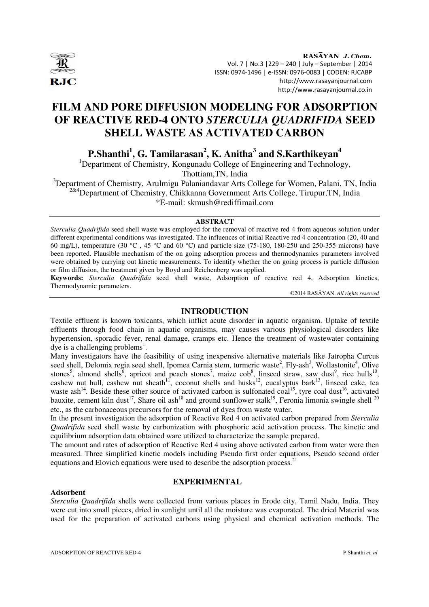

RASAYAN J. Chem. Vol. 7 | No.3 |229 – 240 | July – September | 2014 ISSN: 0974-1496 | e-ISSN: 0976-0083 | CODEN: RJCABP http://www.rasayanjournal.com http://www.rasayanjournal.co.in

# **FILM AND PORE DIFFUSION MODELING FOR ADSORPTION OF REACTIVE RED-4 ONTO** *STERCULIA QUADRIFIDA* **SEED SHELL WASTE AS ACTIVATED CARBON**

**P.Shanthi<sup>1</sup> , G. Tamilarasan<sup>2</sup> , K. Anitha<sup>3</sup> and S.Karthikeyan<sup>4</sup>**

<sup>1</sup>Department of Chemistry, Kongunadu College of Engineering and Technology, Thottiam,TN, India

<sup>3</sup>Department of Chemistry, Arulmigu Palaniandavar Arts College for Women, Palani, TN, India <sup>2&4</sup>Department of Chemistry, Chikkanna Government Arts College, Tirupur, TN, India  $*\tilde{E}$ -mail: skmush@rediffimail.com

## **ABSTRACT**

*Sterculia Quadrifida* seed shell waste was employed for the removal of reactive red 4 from aqueous solution under different experimental conditions was investigated. The influences of initial Reactive red 4 concentration (20, 40 and 60 mg/L), temperature (30 °C , 45 °C and 60 °C) and particle size (75-180, 180-250 and 250-355 microns) have been reported. Plausible mechanism of the on going adsorption process and thermodynamics parameters involved were obtained by carrying out kinetic measurements. To identify whether the on going process is particle diffusion or film diffusion, the treatment given by Boyd and Reichenberg was applied*.* 

**Keywords:** *Sterculia Quadrifida* seed shell waste, Adsorption of reactive red 4, Adsorption kinetics, Thermodynamic parameters.

©2014 RASĀYAN. *All rights reserved*

## **INTRODUCTION**

Textile effluent is known toxicants, which inflict acute disorder in aquatic organism. Uptake of textile effluents through food chain in aquatic organisms, may causes various physiological disorders like hypertension, sporadic fever, renal damage, cramps etc. Hence the treatment of wastewater containing dye is a challenging problems<sup>1</sup>.

Many investigators have the feasibility of using inexpensive alternative materials like Jatropha Curcus seed shell, Delomix regia seed shell, Ipomea Carnia stem, turmeric waste<sup>2</sup>, Fly-ash<sup>3</sup>, Wollastonite<sup>4</sup>, Olive stones<sup>5</sup>, almond shells<sup>6</sup>, apricot and peach stones<sup>7</sup>, maize cob<sup>8</sup>, linseed straw, saw dust<sup>9</sup>, rice hulls<sup>10</sup>, cashew nut hull, cashew nut sheath<sup>11</sup>, coconut shells and husks<sup>12</sup>, eucalyptus bark<sup>13</sup>, linseed cake, tea waste ash<sup>14</sup>. Beside these other source of activated carbon is sulfonated coal<sup>15</sup>, tyre coal dust<sup>16</sup>, activated bauxite, cement kiln dust<sup>17</sup>, Share oil ash<sup>18</sup> and ground sunflower stalk<sup>19</sup>, Feronia limonia swingle shell  $^{20}$ etc., as the carbonaceous precursors for the removal of dyes from waste water.

In the present investigation the adsorption of Reactive Red 4 on activated carbon prepared from *Sterculia Quadrifida* seed shell waste by carbonization with phosphoric acid activation process. The kinetic and equilibrium adsorption data obtained ware utilized to characterize the sample prepared.

The amount and rates of adsorption of Reactive Red 4 using above activated carbon from water were then measured. Three simplified kinetic models including Pseudo first order equations, Pseudo second order equations and Elovich equations were used to describe the adsorption process.<sup>21</sup>

## **EXPERIMENTAL**

#### **Adsorbent**

*Sterculia Quadrifida* shells were collected from various places in Erode city, Tamil Nadu, India. They were cut into small pieces, dried in sunlight until all the moisture was evaporated. The dried Material was used for the preparation of activated carbons using physical and chemical activation methods. The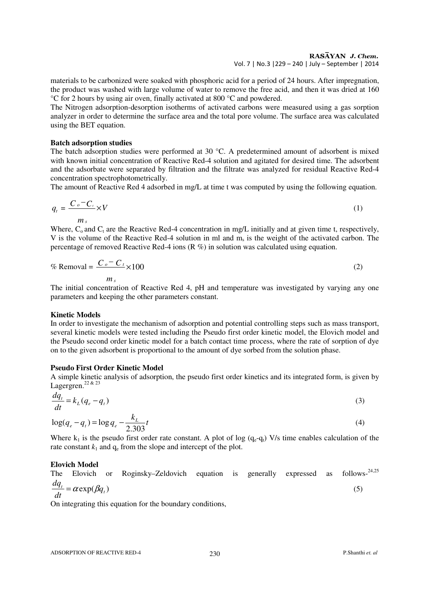## RASAYAN J. Chem.

Vol. 7 | No.3 |229 – 240 | July – September | 2014

materials to be carbonized were soaked with phosphoric acid for a period of 24 hours. After impregnation, the product was washed with large volume of water to remove the free acid, and then it was dried at 160 °C for 2 hours by using air oven, finally activated at 800 °C and powdered.

The Nitrogen adsorption-desorption isotherms of activated carbons were measured using a gas sorption analyzer in order to determine the surface area and the total pore volume. The surface area was calculated using the BET equation.

## **Batch adsorption studies**

The batch adsorption studies were performed at 30 °C. A predetermined amount of adsorbent is mixed with known initial concentration of Reactive Red-4 solution and agitated for desired time. The adsorbent and the adsorbate were separated by filtration and the filtrate was analyzed for residual Reactive Red-4 concentration spectrophotometrically.

The amount of Reactive Red 4 adsorbed in mg/L at time t was computed by using the following equation.

$$
q_{t} = \frac{C_{o} - C_{t}}{m_{s}} \times V
$$
 (1)

Where,  $C_0$  and  $C_t$  are the Reactive Red-4 concentration in mg/L initially and at given time t, respectively, V is the volume of the Reactive Red-4 solution in ml and  $m_s$  is the weight of the activated carbon. The percentage of removed Reactive Red-4 ions (R %) in solution was calculated using equation.

$$
\% \text{Removal} = \frac{C_o - C_t}{m_s} \times 100 \tag{2}
$$

The initial concentration of Reactive Red 4, pH and temperature was investigated by varying any one parameters and keeping the other parameters constant.

## **Kinetic Models**

In order to investigate the mechanism of adsorption and potential controlling steps such as mass transport, several kinetic models were tested including the Pseudo first order kinetic model, the Elovich model and the Pseudo second order kinetic model for a batch contact time process, where the rate of sorption of dye on to the given adsorbent is proportional to the amount of dye sorbed from the solution phase.

## **Pseudo First Order Kinetic Model**

A simple kinetic analysis of adsorption, the pseudo first order kinetics and its integrated form, is given by Lagergren.<sup>22 & 23</sup>

$$
\frac{dq_t}{dt} = k_L(q_e - q_t) \tag{3}
$$

$$
\log(q_e - q_t) = \log q_e - \frac{k_L}{2.303}t\tag{4}
$$

Where  $k_1$  is the pseudo first order rate constant. A plot of log ( $q_e - q_t$ ) V/s time enables calculation of the rate constant  $k_1$  and  $q_e$  from the slope and intercept of the plot.

## **Elovich Model**

The Elovich or Roginsky–Zeldovich equation is generally expressed as follows-<sup>24,25</sup> *t dq*  $\alpha$ 

$$
\frac{dq_t}{dt} = \alpha \exp(\beta q_t) \tag{5}
$$

On integrating this equation for the boundary conditions,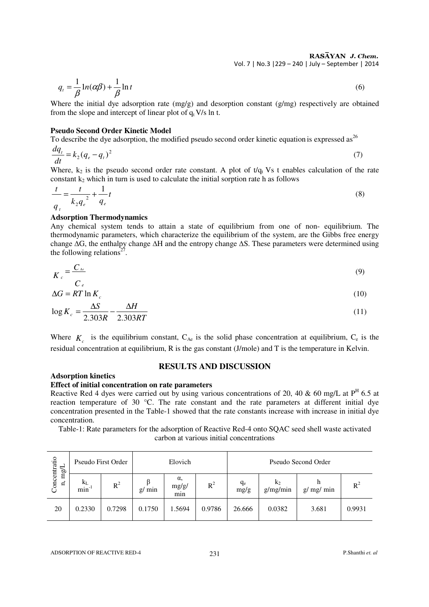RASAYAN J. Chem. Vol. 7 | No.3 |229 – 240 | July – September | 2014

$$
q_t = \frac{1}{\beta} \ln(\alpha \beta) + \frac{1}{\beta} \ln t \tag{6}
$$

Where the initial dye adsorption rate (mg/g) and desorption constant (g/mg) respectively are obtained from the slope and intercept of linear plot of  $q_t V/s$  ln t.

## **Pseudo Second Order Kinetic Model**

To describe the dye adsorption, the modified pseudo second order kinetic equation is expressed as  $26$ 

$$
\frac{dq_t}{dt} = k_2(q_e - q_t)^2\tag{7}
$$

Where,  $k_2$  is the pseudo second order rate constant. A plot of  $t/q_t$  Vs t enables calculation of the rate constant  $k_2$  which in turn is used to calculate the initial sorption rate h as follows

$$
\frac{t}{q_t} = \frac{t}{k_2 q_e^2} + \frac{1}{q_e} t
$$
\n(8)

#### **Adsorption Thermodynamics**

Any chemical system tends to attain a state of equilibrium from one of non- equilibrium. The thermodynamic parameters, which characterize the equilibrium of the system, are the Gibbs free energy change ∆G, the enthalpy change ∆H and the entropy change ∆S. These parameters were determined using the following relations<sup>27</sup>.

$$
K_c = \frac{C_{\text{Ae}}}{C_e} \tag{9}
$$

$$
\Delta G = RT \ln K_c \tag{10}
$$

$$
\log K_c = \frac{\Delta S}{2.303R} - \frac{\Delta H}{2.303RT} \tag{11}
$$

Where  $K_c$  is the equilibrium constant,  $C_{Ae}$  is the solid phase concentration at equilibrium,  $C_e$  is the residual concentration at equilibrium, R is the gas constant (J/mole) and T is the temperature in Kelvin.

## **RESULTS AND DISCUSSION**

#### **Adsorption kinetics**

#### **Effect of initial concentration on rate parameters**

Reactive Red 4 dyes were carried out by using various concentrations of 20, 40 & 60 mg/L at  $P<sup>H</sup>$  6.5 at reaction temperature of 30 °C. The rate constant and the rate parameters at different initial dye concentration presented in the Table-1 showed that the rate constants increase with increase in initial dye concentration.

Table-1: Rate parameters for the adsorption of Reactive Red-4 onto SQAC seed shell waste activated carbon at various initial concentrations

| centratio<br>mg/L<br>E,<br>$\tilde{\rm C}$ on | Pseudo First Order         |        | Elovich |                    |        | Pseudo Second Order |                   |               |        |  |
|-----------------------------------------------|----------------------------|--------|---------|--------------------|--------|---------------------|-------------------|---------------|--------|--|
|                                               | $\rm{k_{L}}$<br>$min^{-1}$ | $R^2$  | g/min   | α,<br>mg/g/<br>min | $R^2$  | $q_e$<br>mg/g       | $k_2$<br>g/mg/min | h<br>g/mg/min | $R^2$  |  |
| 20                                            | 0.2330                     | 0.7298 | 0.1750  | 1.5694             | 0.9786 | 26.666              | 0.0382            | 3.681         | 0.9931 |  |

ADSORPTION OF REACTIVE RED-4 231 P.Shanthi *et. al*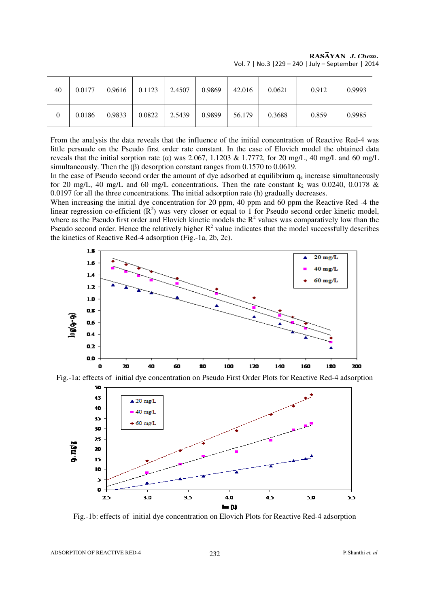| 40             | 0.0177 | 0.9616 | 0.1123 | 2.4507 | 0.9869 | 42.016 | 0.0621 | 0.912 | 0.9993 |
|----------------|--------|--------|--------|--------|--------|--------|--------|-------|--------|
| $\overline{0}$ | 0.0186 | 0.9833 | 0.0822 | 2.5439 | 0.9899 | 56.179 | 0.3688 | 0.859 | 0.9985 |

RASĀYAN J. Chem. Vol. 7 | No.3 |229 – 240 | July – September | 2014

From the analysis the data reveals that the influence of the initial concentration of Reactive Red-4 was little persuade on the Pseudo first order rate constant. In the case of Elovich model the obtained data reveals that the initial sorption rate (α) was 2.067, 1.1203 & 1.7772, for 20 mg/L, 40 mg/L and 60 mg/L simultaneously. Then the (β) desorption constant ranges from 0.1570 to 0.0619.

In the case of Pseudo second order the amount of dye adsorbed at equilibrium  $q_e$  increase simultaneously for 20 mg/L, 40 mg/L and 60 mg/L concentrations. Then the rate constant  $k_2$  was 0.0240, 0.0178 & 0.0197 for all the three concentrations. The initial adsorption rate (h) gradually decreases.

When increasing the initial dye concentration for 20 ppm, 40 ppm and 60 ppm the Reactive Red -4 the linear regression co-efficient  $(R^2)$  was very closer or equal to 1 for Pseudo second order kinetic model, where as the Pseudo first order and Elovich kinetic models the  $R^2$  values was comparatively low than the Pseudo second order. Hence the relatively higher  $R^2$  value indicates that the model successfully describes the kinetics of Reactive Red-4 adsorption (Fig.-1a, 2b, 2c).





Fig.-1a: effects of initial dye concentration on Pseudo First Order Plots for Reactive Red-4 adsorption

Fig.-1b: effects of initial dye concentration on Elovich Plots for Reactive Red-4 adsorption

ADSORPTION OF REACTIVE RED-4 232 **P.Shanthi** *et. al*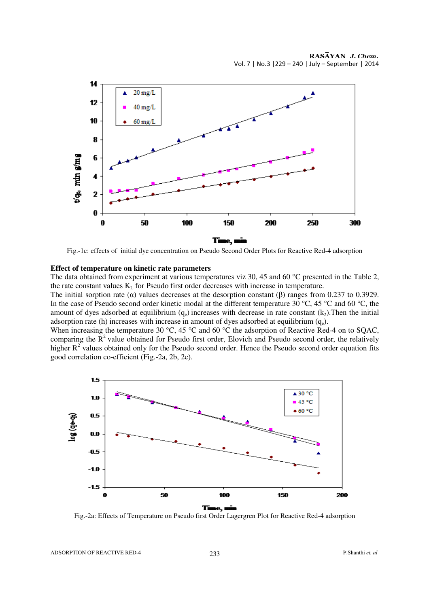

Fig.-1c: effects of initial dye concentration on Pseudo Second Order Plots for Reactive Red-4 adsorption

#### **Effect of temperature on kinetic rate parameters**

The data obtained from experiment at various temperatures viz 30, 45 and 60 °C presented in the Table 2, the rate constant values  $K<sub>L</sub>$  for Pseudo first order decreases with increase in temperature.

The initial sorption rate ( $\alpha$ ) values decreases at the desorption constant ( $\beta$ ) ranges from 0.237 to 0.3929. In the case of Pseudo second order kinetic modal at the different temperature 30 °C, 45 °C and 60 °C, the amount of dyes adsorbed at equilibrium  $(q_e)$  increases with decrease in rate constant  $(k_2)$ . Then the initial adsorption rate (h) increases with increase in amount of dyes adsorbed at equilibrium  $(q_e)$ .

When increasing the temperature 30 °C, 45 °C and 60 °C the adsorption of Reactive Red-4 on to SQAC, comparing the  $R<sup>2</sup>$  value obtained for Pseudo first order, Elovich and Pseudo second order, the relatively higher  $R<sup>2</sup>$  values obtained only for the Pseudo second order. Hence the Pseudo second order equation fits good correlation co-efficient (Fig.-2a, 2b, 2c).



Fig.-2a: Effects of Temperature on Pseudo first Order Lagergren Plot for Reactive Red-4 adsorption

ADSORPTION OF REACTIVE RED-4 233 P.Shanthi *et. al*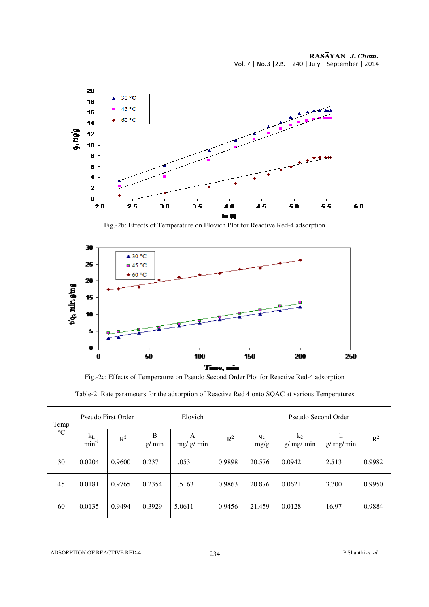

Fig.-2b: Effects of Temperature on Elovich Plot for Reactive Red-4 adsorption



Fig.-2c: Effects of Temperature on Pseudo Second Order Plot for Reactive Red-4 adsorption

|  |  | Table-2: Rate parameters for the adsorption of Reactive Red 4 onto SQAC at various Temperatures |
|--|--|-------------------------------------------------------------------------------------------------|
|  |  |                                                                                                 |

| Temp            | Pseudo First Order    |        | Elovich    |               |        | Pseudo Second Order |                   |               |        |
|-----------------|-----------------------|--------|------------|---------------|--------|---------------------|-------------------|---------------|--------|
| $\rm ^{\circ}C$ | $k_{L}$<br>$min^{-1}$ | $R^2$  | B<br>g/min | A<br>mg/g/min | $R^2$  | $q_e$<br>mg/g       | $k_2$<br>g/mg/min | h<br>g/mg/min | $R^2$  |
| 30              | 0.0204                | 0.9600 | 0.237      | 1.053         | 0.9898 | 20.576              | 0.0942            | 2.513         | 0.9982 |
| 45              | 0.0181                | 0.9765 | 0.2354     | 1.5163        | 0.9863 | 20.876              | 0.0621            | 3.700         | 0.9950 |
| 60              | 0.0135                | 0.9494 | 0.3929     | 5.0611        | 0.9456 | 21.459              | 0.0128            | 16.97         | 0.9884 |

ADSORPTION OF REACTIVE RED-4 234 P.Shanthi *et. al*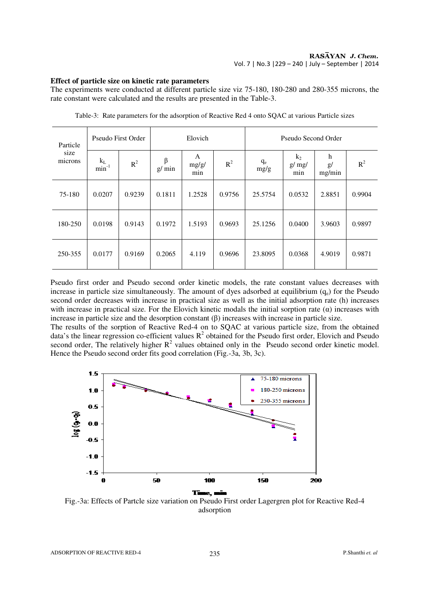## **Effect of particle size on kinetic rate parameters**

The experiments were conducted at different particle size viz 75-180, 180-280 and 280-355 microns, the rate constant were calculated and the results are presented in the Table-3.

| Particle<br>size<br>microns |                          | Pseudo First Order |            | Elovich           |        |               | Pseudo Second Order   |                   |        |  |
|-----------------------------|--------------------------|--------------------|------------|-------------------|--------|---------------|-----------------------|-------------------|--------|--|
|                             | $\frac{k_{L}}{min^{-1}}$ | $R^2$              | β<br>g/min | A<br>mg/g/<br>min | $R^2$  | $q_e$<br>mg/g | $k_2$<br>g/mg/<br>min | h<br>g/<br>mg/min | $R^2$  |  |
| 75-180                      | 0.0207                   | 0.9239             | 0.1811     | 1.2528            | 0.9756 | 25.5754       | 0.0532                | 2.8851            | 0.9904 |  |
| 180-250                     | 0.0198                   | 0.9143             | 0.1972     | 1.5193            | 0.9693 | 25.1256       | 0.0400                | 3.9603            | 0.9897 |  |
| 250-355                     | 0.0177                   | 0.9169             | 0.2065     | 4.119             | 0.9696 | 23.8095       | 0.0368                | 4.9019            | 0.9871 |  |

Table-3: Rate parameters for the adsorption of Reactive Red 4 onto SQAC at various Particle sizes

Pseudo first order and Pseudo second order kinetic models, the rate constant values decreases with increase in particle size simultaneously. The amount of dyes adsorbed at equilibrium  $(q_e)$  for the Pseudo second order decreases with increase in practical size as well as the initial adsorption rate (h) increases with increase in practical size. For the Elovich kinetic modals the initial sorption rate  $(\alpha)$  increases with increase in particle size and the desorption constant (β) increases with increase in particle size.

The results of the sorption of Reactive Red-4 on to SQAC at various particle size, from the obtained data's the linear regression co-efficient values  $R^2$  obtained for the Pseudo first order, Elovich and Pseudo second order, The relatively higher  $R^2$  values obtained only in the Pseudo second order kinetic model. Hence the Pseudo second order fits good correlation (Fig.-3a, 3b, 3c).



Fig.-3a: Effects of Partcle size variation on Pseudo First order Lagergren plot for Reactive Red-4 adsorption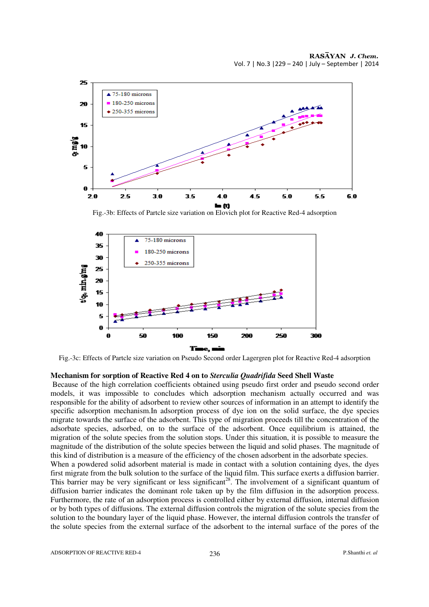

Fig.-3b: Effects of Partcle size variation on Elovich plot for Reactive Red-4 adsorption



Fig.-3c: Effects of Partcle size variation on Pseudo Second order Lagergren plot for Reactive Red-4 adsorption

#### **Mechanism for sorption of Reactive Red 4 on to** *Sterculia Quadrifida* **Seed Shell Waste**

 Because of the high correlation coefficients obtained using pseudo first order and pseudo second order models, it was impossible to concludes which adsorption mechanism actually occurred and was responsible for the ability of adsorbent to review other sources of information in an attempt to identify the specific adsorption mechanism.In adsorption process of dye ion on the solid surface, the dye species migrate towards the surface of the adsorbent. This type of migration proceeds till the concentration of the adsorbate species, adsorbed, on to the surface of the adsorbent. Once equilibrium is attained, the migration of the solute species from the solution stops. Under this situation, it is possible to measure the magnitude of the distribution of the solute species between the liquid and solid phases. The magnitude of this kind of distribution is a measure of the efficiency of the chosen adsorbent in the adsorbate species.

When a powdered solid adsorbent material is made in contact with a solution containing dyes, the dyes first migrate from the bulk solution to the surface of the liquid film. This surface exerts a diffusion barrier. This barrier may be very significant or less significant<sup>28</sup>. The involvement of a significant quantum of diffusion barrier indicates the dominant role taken up by the film diffusion in the adsorption process. Furthermore, the rate of an adsorption process is controlled either by external diffusion, internal diffusion or by both types of diffusions. The external diffusion controls the migration of the solute species from the solution to the boundary layer of the liquid phase. However, the internal diffusion controls the transfer of the solute species from the external surface of the adsorbent to the internal surface of the pores of the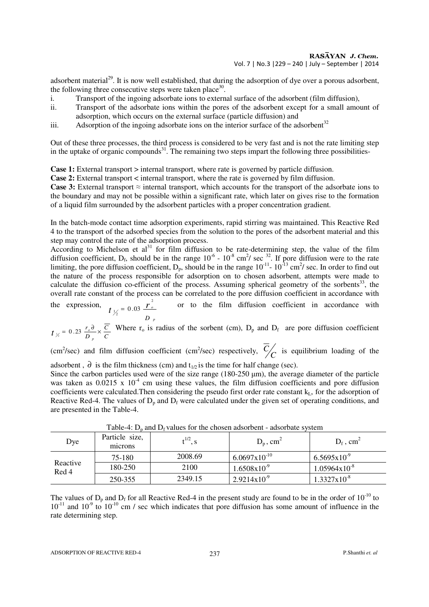adsorbent material<sup>29</sup>. It is now well established, that during the adsorption of dye over a porous adsorbent, the following three consecutive steps were taken place<sup>30</sup>.

- i. Transport of the ingoing adsorbate ions to external surface of the adsorbent (film diffusion),
- ii. Transport of the adsorbate ions within the pores of the adsorbent except for a small amount of adsorption, which occurs on the external surface (particle diffusion) and
- iii. Adsorption of the ingoing adsorbate ions on the interior surface of the adsorbent $32$

Out of these three processes, the third process is considered to be very fast and is not the rate limiting step in the uptake of organic compounds<sup>31</sup>. The remaining two steps impart the following three possibilities-

**Case 1:** External transport > internal transport, where rate is governed by particle diffusion.

**Case 2:** External transport < internal transport, where the rate is governed by film diffusion.

**Case 3:** External transport  $\approx$  internal transport, which accounts for the transport of the adsorbate ions to the boundary and may not be possible within a significant rate, which later on gives rise to the formation of a liquid film surrounded by the adsorbent particles with a proper concentration gradient.

In the batch-mode contact time adsorption experiments, rapid stirring was maintained. This Reactive Red 4 to the transport of the adsorbed species from the solution to the pores of the adsorbent material and this step may control the rate of the adsorption process.

According to Michelson et al<sup>31</sup> for film diffusion to be rate-determining step, the value of the film diffusion coefficient,  $D_f$ , should be in the range  $10^{-6}$  -  $10^{-8}$  cm<sup>2</sup>/ sec <sup>32</sup>. If pore diffusion were to the rate limiting, the pore diffusion coefficient,  $D_p$ , should be in the range  $10^{-11}$ -  $10^{-13}$  cm<sup>2</sup>/ sec. In order to find out the nature of the process responsible for adsorption on to chosen adsorbent, attempts were made to calculate the diffusion co-efficient of the process. Assuming spherical geometry of the sorbents<sup>33</sup>, the overall rate constant of the process can be correlated to the pore diffusion coefficient in accordance with 2

the expression, *D <sup>p</sup>*  $t_{\frac{1}{2}} = 0.03 \frac{r_{o}^{2}}{r_{o}}$  $\frac{1}{2} = 0.03$ or to the film diffusion coefficient in accordance with

$$
t_{\frac{1}{2}} = 0.23 \frac{r_o \partial}{D_p} \times \frac{\overline{C}}{C}
$$
 Where  $r_o$  is radius of the sorbent (cm),  $D_p$  and  $D_f$  are pore diffusion coefficient

(cm<sup>2</sup>/sec) and film diffusion coefficient (cm<sup>2</sup>/sec) respectively,  $\frac{C}{C}$  is equilibrium loading of the adsorbent,  $\partial$  is the film thickness (cm) and  $t_{1/2}$  is the time for half change (sec).

Since the carbon particles used were of the size range  $(180-250 \,\mu m)$ , the average diameter of the particle was taken as  $0.0215 \times 10^{-4}$  cm using these values, the film diffusion coefficients and pore diffusion coefficients were calculated. Then considering the pseudo first order rate constant  $k<sub>L</sub>$ , for the adsorption of Reactive Red-4. The values of  $D_p$  and  $D_f$  were calculated under the given set of operating conditions, and are presented in the Table-4.

| Dye               | Particle size,<br>microns | $t^{1/2}, s$ | $D_p$ , cm <sup>2</sup>  | $D_f$ , cm <sup>2</sup>  |
|-------------------|---------------------------|--------------|--------------------------|--------------------------|
| Reactive<br>Red 4 | 75-180                    | 2008.69      | $6.0697 \times 10^{-10}$ | $6.5695 \times 10^{-9}$  |
|                   | 180-250                   | 2100         | $1.6508x10^{-9}$         | $1.05964 \times 10^{-8}$ |
|                   | 250-355                   | 2349.15      | $2.9214x10^{-9}$         | $1.3327 \times 10^{-8}$  |

Table-4:  $D<sub>n</sub>$  and  $D_f$  values for the chosen adsorbent - adsorbate system

The values of  $D_p$  and  $D_f$  for all Reactive Red-4 in the present study are found to be in the order of  $10^{-10}$  to  $10^{-11}$  and  $10^{-9}$  to  $10^{-10}$  cm / sec which indicates that pore diffusion has some amount of influence in the rate determining step.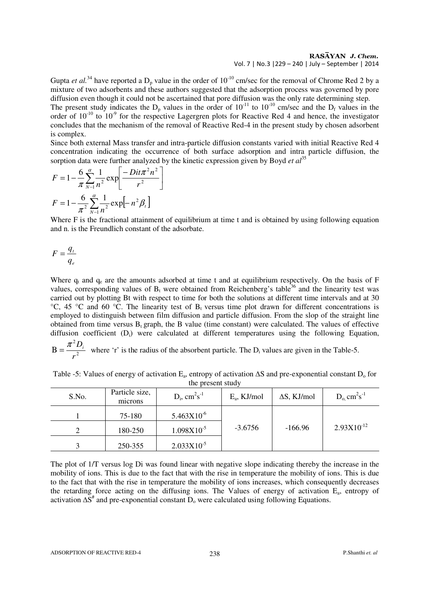## RASĀYAN J. Chem. Vol. 7 | No.3 |229 – 240 | July – September | 2014

Gupta *et al.*<sup>34</sup> have reported a  $D_p$  value in the order of  $10^{-10}$  cm/sec for the removal of Chrome Red 2 by a mixture of two adsorbents and these authors suggested that the adsorption process was governed by pore diffusion even though it could not be ascertained that pore diffusion was the only rate determining step. The present study indicates the  $D_p$  values in the order of  $10^{-11}$  to  $10^{-10}$  cm/sec and the  $D_f$  values in the order of  $10^{-10}$  to  $10^{-9}$  for the respective Lagergren plots for Reactive Red 4 and hence, the investigator concludes that the mechanism of the removal of Reactive Red-4 in the present study by chosen adsorbent is complex.

Since both external Mass transfer and intra-particle diffusion constants varied with initial Reactive Red 4 concentration indicating the occurrence of both surface adsorption and intra particle diffusion, the sorption data were further analyzed by the kinetic expression given by Boyd *et al*<sup>35</sup>

$$
F = 1 - \frac{6}{\pi} \sum_{N=1}^{\infty} \frac{1}{n^2} \exp\left[\frac{-Dit\pi^2 n^2}{r^2}\right]
$$

$$
F = 1 - \frac{6}{\pi^2} \sum_{N=1}^{\infty} \frac{1}{n^2} \exp[-n^2 \beta]
$$

Where F is the fractional attainment of equilibrium at time t and is obtained by using following equation and n. is the Freundlich constant of the adsorbate.

$$
F = \frac{q_t}{q_e}
$$

Where  $q_t$  and  $q_e$  are the amounts adsorbed at time t and at equilibrium respectively. On the basis of F values, corresponding values of  $B_t$  were obtained from Reichenberg's table<sup>36</sup> and the linearity test was carried out by plotting Bt with respect to time for both the solutions at different time intervals and at 30 °C, 45 °C and 60 °C. The linearity test of B<sub>t</sub> versus time plot drawn for different concentrations is employed to distinguish between film diffusion and particle diffusion. From the slop of the straight line obtained from time versus  $B_t$  graph, the B value (time constant) were calculated. The values of effective diffusion coefficient (D<sub>i</sub>) were calculated at different temperatures using the following Equation,  $\pi^2$  D

$$
B = \frac{\pi^2 D_i}{r^2}
$$
 where 'r' is the radius of the absorbent particle. The D<sub>i</sub> values are given in the Table-5.

| Table -5: Values of energy of activation $E_a$ , entropy of activation $\Delta S$ and pre-exponential constant $D_0$ for |
|--------------------------------------------------------------------------------------------------------------------------|
| the present study                                                                                                        |

| S.No. | Particle size,<br>microns | $D_i$ , cm <sup>2</sup> s <sup>-1</sup> | $E_a$ , KJ/mol | $\Delta S$ , KJ/mol | $D_0$ cm <sup>2</sup> s <sup>-1</sup> |
|-------|---------------------------|-----------------------------------------|----------------|---------------------|---------------------------------------|
|       | 75-180                    | $5.463X10^{-6}$                         |                |                     |                                       |
|       | 180-250                   | $1.098X10^{-5}$                         | $-3.6756$      | $-166.96$           | $2.93X10^{-12}$                       |
|       | 250-355                   | $2.033X10^{-5}$                         |                |                     |                                       |

The plot of 1/T versus log Di was found linear with negative slope indicating thereby the increase in the mobility of ions. This is due to the fact that with the rise in temperature the mobility of ions. This is due to the fact that with the rise in temperature the mobility of ions increases, which consequently decreases the retarding force acting on the diffusing ions. The Values of energy of activation E<sub>a</sub>, entropy of activation  $\Delta S^*$  and pre-exponential constant  $D_0$  were calculated using following Equations.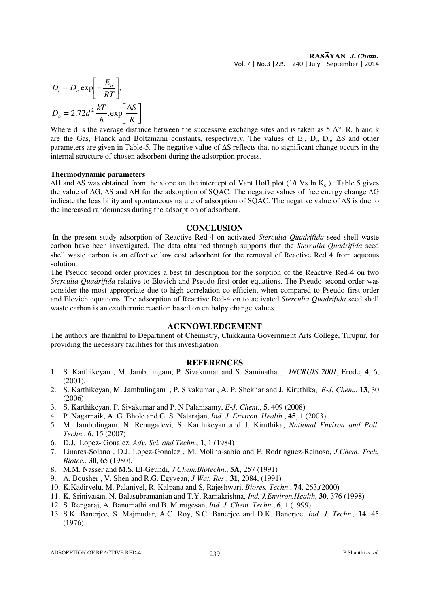$$
D_i = D_o \exp\left[-\frac{E_a}{RT}\right],
$$
  

$$
D_o = 2.72d^2 \frac{kT}{h} \exp\left[\frac{\Delta S}{R}\right]
$$

Where d is the average distance between the successive exchange sites and is taken as 5 A°. R, h and k are the Gas, Planck and Boltzmann constants, respectively. The values of  $E_a$ ,  $D_i$ ,  $D_o$ ,  $\Delta S$  and other parameters are given in Table-5. The negative value of ∆S reflects that no significant change occurs in the internal structure of chosen adsorbent during the adsorption process.

## **Thermodynamic parameters**

 $\Delta H$  and  $\Delta S$  was obtained from the slope on the intercept of Vant Hoff plot (1/t Vs ln K<sub>c</sub>). Table 5 gives the value of ∆G, ∆S and ∆H for the adsorption of SQAC. The negative values of free energy change ∆G indicate the feasibility and spontaneous nature of adsorption of SQAC. The negative value of ∆S is due to the increased randomness during the adsorption of adsorbent.

## **CONCLUSION**

 In the present study adsorption of Reactive Red-4 on activated *Sterculia Quadrifida* seed shell waste carbon have been investigated. The data obtained through supports that the *Sterculia Quadrifida* seed shell waste carbon is an effective low cost adsorbent for the removal of Reactive Red 4 from aqueous solution.

The Pseudo second order provides a best fit description for the sorption of the Reactive Red-4 on two *Sterculia Quadrifida* relative to Elovich and Pseudo first order equations. The Pseudo second order was consider the most appropriate due to high correlation co-efficient when compared to Pseudo first order and Elovich equations. The adsorption of Reactive Red-4 on to activated *Sterculia Quadrifida* seed shell waste carbon is an exothermic reaction based on enthalpy change values.

## **ACKNOWLEDGEMENT**

The authors are thankful to Department of Chemistry, Chikkanna Government Arts College, Tirupur, for providing the necessary facilities for this investigation.

## **REFERENCES**

- 1. S. Karthikeyan , M. Jambulingam, P. Sivakumar and S. Saminathan, *INCRUIS 2001*, Erode, **4**, 6, (2001).
- 2. S. Karthikeyan, M. Jambulingam , P. Sivakumar , A. P. Shekhar and J. Kiruthika, *E-J. Chem.*, **13**, 30 (2006)
- 3. S. Karthikeyan, P. Sivakumar and P. N Palanisamy, *E-J. Chem*., **5**, 409 (2008)
- 4. P .Nagarnaik, A. G. Bhole and G. S. Natarajan, *Ind. J. Environ. Health.*, **45**, 1 (2003)
- 5. M. Jambulingam, N. Renugadevi, S. Karthikeyan and J. Kiruthika, *National Environ and Poll. Techn*., **6**, 15 (2007)
- 6. D.J. Lopez- Gonalez, *Adv. Sci. and Techn.,* **1**, 1 (1984)
- 7. Linares-Solano , D.J. Lopez-Gonalez , M. Molina-sabio and F. Rodringuez-Reinoso, *J.Chem. Tech. Biotec.,* **30**, 65 (1980).
- 8. M.M. Nasser and M.S. El-Geundi, *J Chem.Biotechn*., **5A**, 257 (1991)
- 9. A. Bousher , V. Shen and R.G. Egyvean, *J Wat. Res*., **31**, 2084, (1991)
- 10. K.Kadirvelu, M. Palanivel, R. Kalpana and S, Rajeshwari, *Biores. Techn*., **74**, 263,(2000)
- 11. K. Srinivasan, N. Balasubramanian and T.Y. Ramakrishna, *Ind. J.Environ.Health*, **30**, 376 (1998)
- 12. S. Rengaraj, A. Banumathi and B. Murugesan, *Ind. J. Chem. Techn.*, **6**, 1 (1999)
- 13. S.K. Banerjee, S. Majmudar, A.C. Roy, S.C. Banerjee and D.K. Banerjee, *Ind. J. Techn.,* **14**, 45 (1976)